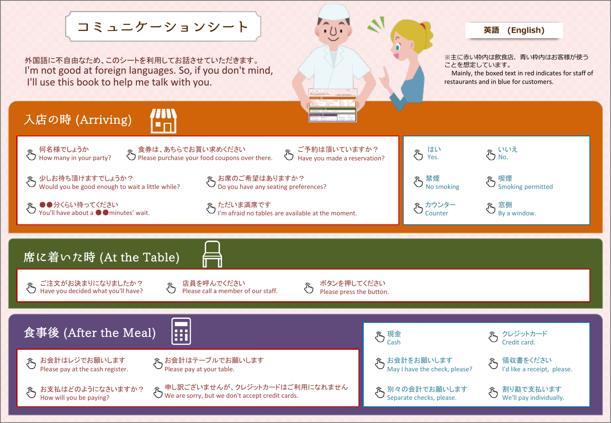コミュニケーションシート

外国語に不自由なため、このシートを利用してお話させていただきます。 I'm not good at foreign languages. So, if you don't mind, I'll use this book to help me talk with you.



## **英語 (English)**

※主に赤い枠内は飲食店、青い枠内はお客様が使う ことを想定しています。

Mainly, the boxed text in red indicates for staff of restaurants and in blue for customers.

## 入店の時 (Arriving)



何名様でしょうか 、<br>、 何名様でしょっか<br> How many in your party? 食券は、あちらでお買い求めください うちゃくありいいしゃ。<br>第25 Please purchase your food coupons over there.

少しお待ち頂けますでしょうか? Would you be good enough to wait a little while?

●●分くらい待ってください You'll have about a ●●minutes' wait. お席のご希望はありますか? Do you have any seating preferences?

ただいま満席です I'm afraid no tables are available at the moment.

 $\ddot{\mathring{\mathcal{C}}}$ 

はい Yes.

禁煙 No smoking

> カウンター Counter

喫煙 Smoking permitted

窓側 By a window.

いいえ No.

席に着いた時 (At the Table)

ご注文がお決まりになりましたか? <del>た。ご注又かゐ次まットはファンパン</del><br>● Have you decided what you'll have? 店員を呼んでください Please call a member of our staff.

ボタンを押してください Please press the button.

ご予約は頂いていますか? Have you made a reservation?